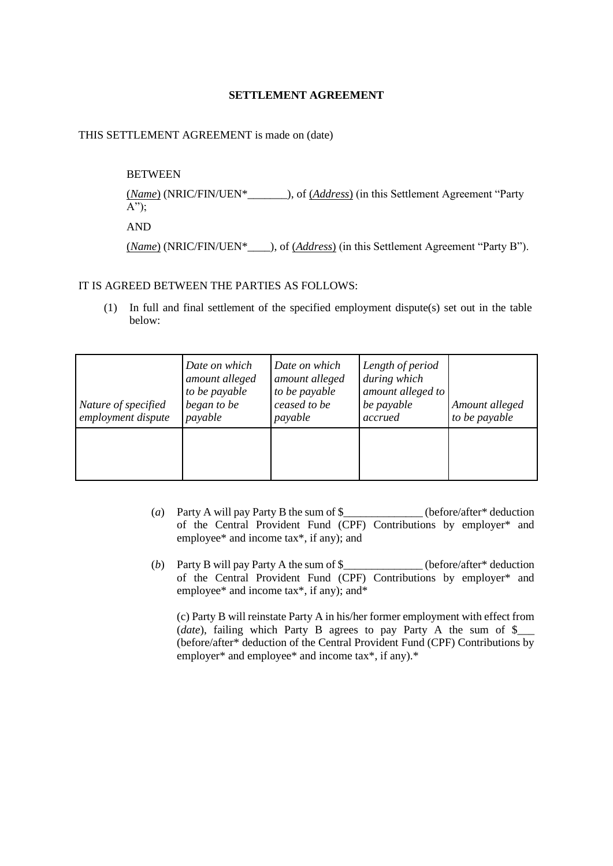## **SETTLEMENT AGREEMENT**

#### THIS SETTLEMENT AGREEMENT is made on (date)

# **BETWEEN**

(*Name*) (NRIC/FIN/UEN\*\_\_\_\_\_\_\_), of (*Address*) (in this Settlement Agreement "Party  $A$ ");

AND

(*Name*) (NRIC/FIN/UEN\*\_\_\_\_), of (*Address*) (in this Settlement Agreement "Party B").

#### IT IS AGREED BETWEEN THE PARTIES AS FOLLOWS:

(1) In full and final settlement of the specified employment dispute(s) set out in the table below:

| Nature of specified<br>employment dispute | Date on which<br>amount alleged<br>to be payable<br>began to be<br>payable | Date on which<br>amount alleged<br>to be payable<br>ceased to be<br>payable | Length of period<br>during which<br>amount alleged to<br>be payable<br>accrued | Amount alleged<br>to be payable |
|-------------------------------------------|----------------------------------------------------------------------------|-----------------------------------------------------------------------------|--------------------------------------------------------------------------------|---------------------------------|
|                                           |                                                                            |                                                                             |                                                                                |                                 |

- (*a*) Party A will pay Party B the sum of \$\_\_\_\_\_\_\_\_\_\_\_\_\_\_ (before/after\* deduction of the Central Provident Fund (CPF) Contributions by employer\* and employee\* and income tax\*, if any); and
- (*b*) Party B will pay Party A the sum of \$\_\_\_\_\_\_\_\_\_\_\_\_\_\_ (before/after\* deduction of the Central Provident Fund (CPF) Contributions by employer\* and employee\* and income tax\*, if any); and\*

(c) Party B will reinstate Party A in his/her former employment with effect from (*date*), failing which Party B agrees to pay Party A the sum of \$\_\_\_\_\_ (before/after\* deduction of the Central Provident Fund (CPF) Contributions by employer\* and employee\* and income tax\*, if any).\*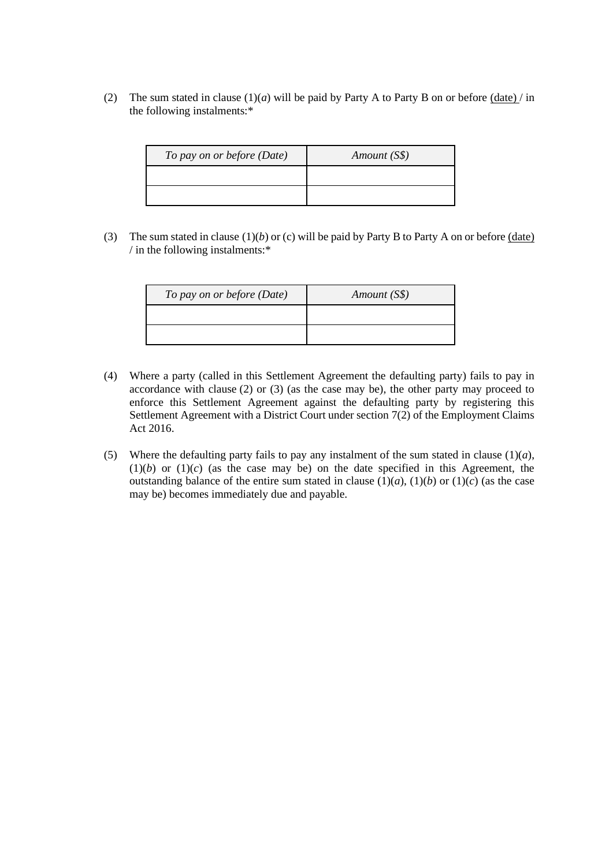(2) The sum stated in clause (1)(*a*) will be paid by Party A to Party B on or before (date) / in the following instalments:\*

| To pay on or before (Date) | Amount (S\$) |
|----------------------------|--------------|
|                            |              |
|                            |              |

(3) The sum stated in clause  $(1)(b)$  or (c) will be paid by Party B to Party A on or before  $(date)$ / in the following instalments:\*

| To pay on or before (Date) | Amount (S\$) |
|----------------------------|--------------|
|                            |              |
|                            |              |

- (4) Where a party (called in this Settlement Agreement the defaulting party) fails to pay in accordance with clause (2) or (3) (as the case may be), the other party may proceed to enforce this Settlement Agreement against the defaulting party by registering this Settlement Agreement with a District Court under section 7(2) of the Employment Claims Act 2016.
- (5) Where the defaulting party fails to pay any instalment of the sum stated in clause  $(1)(a)$ ,  $(1)(b)$  or  $(1)(c)$  (as the case may be) on the date specified in this Agreement, the outstanding balance of the entire sum stated in clause  $(1)(a)$ ,  $(1)(b)$  or  $(1)(c)$  (as the case may be) becomes immediately due and payable.